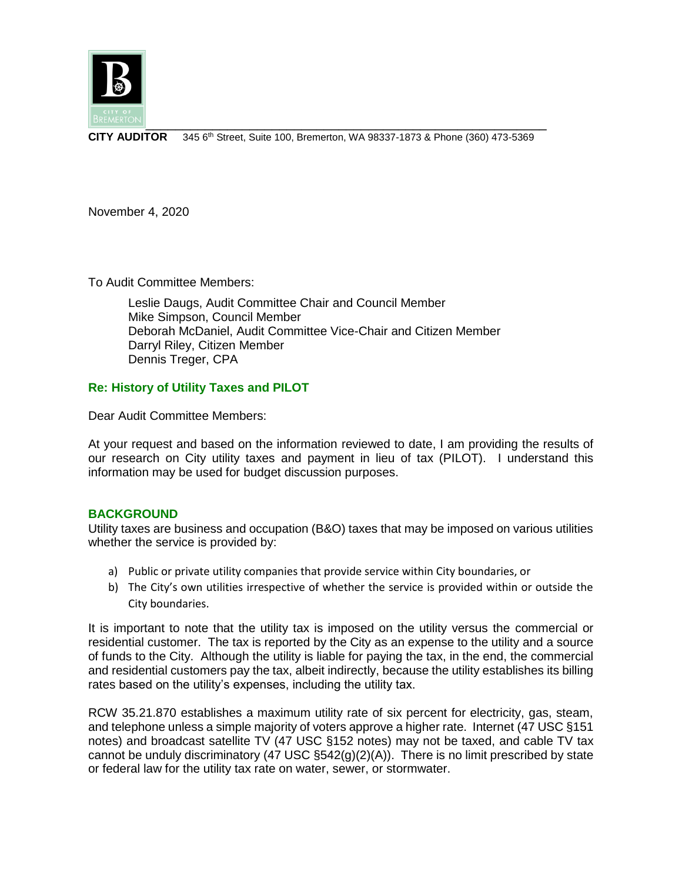

**CITY AUDITOR** 345 6th Street, Suite 100, Bremerton, WA 98337-1873 & Phone (360) 473-5369

November 4, 2020

To Audit Committee Members:

Leslie Daugs, Audit Committee Chair and Council Member Mike Simpson, Council Member Deborah McDaniel, Audit Committee Vice-Chair and Citizen Member Darryl Riley, Citizen Member Dennis Treger, CPA

# **Re: History of Utility Taxes and PILOT**

Dear Audit Committee Members:

At your request and based on the information reviewed to date, I am providing the results of our research on City utility taxes and payment in lieu of tax (PILOT). I understand this information may be used for budget discussion purposes.

## **BACKGROUND**

Utility taxes are business and occupation (B&O) taxes that may be imposed on various utilities whether the service is provided by:

- a) Public or private utility companies that provide service within City boundaries, or
- b) The City's own utilities irrespective of whether the service is provided within or outside the City boundaries.

It is important to note that the utility tax is imposed on the utility versus the commercial or residential customer. The tax is reported by the City as an expense to the utility and a source of funds to the City. Although the utility is liable for paying the tax, in the end, the commercial and residential customers pay the tax, albeit indirectly, because the utility establishes its billing rates based on the utility's expenses, including the utility tax.

RCW 35.21.870 establishes a maximum utility rate of six percent for electricity, gas, steam, and telephone unless a simple majority of voters approve a higher rate. Internet (47 USC §151 notes) and broadcast satellite TV (47 USC §152 notes) may not be taxed, and cable TV tax cannot be unduly discriminatory (47 USC  $\S 542(q)(2)(A)$ ). There is no limit prescribed by state or federal law for the utility tax rate on water, sewer, or stormwater.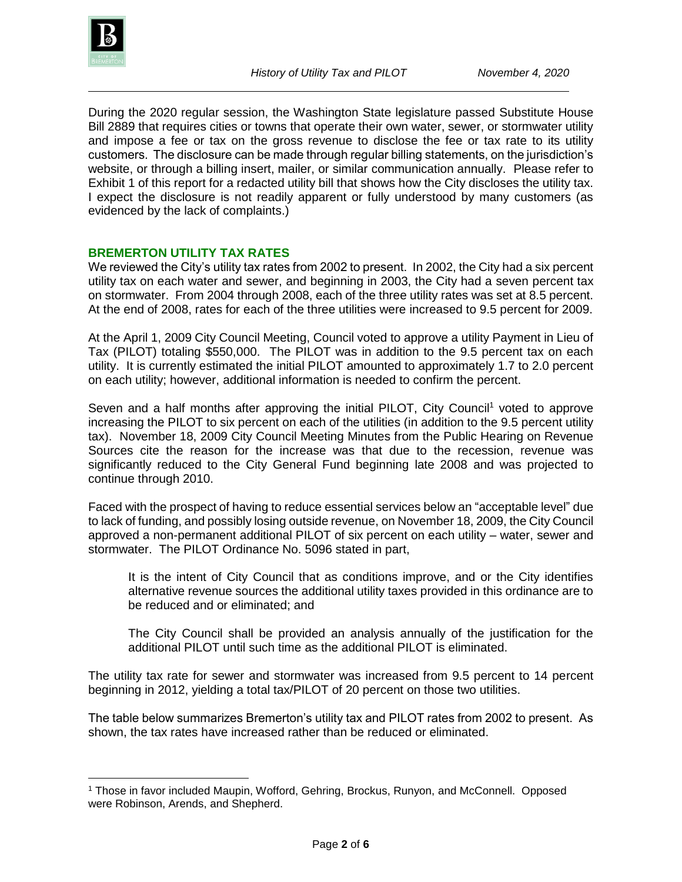

l

During the 2020 regular session, the Washington State legislature passed Substitute House Bill 2889 that requires cities or towns that operate their own water, sewer, or stormwater utility and impose a fee or tax on the gross revenue to disclose the fee or tax rate to its utility customers. The disclosure can be made through regular billing statements, on the jurisdiction's website, or through a billing insert, mailer, or similar communication annually. Please refer to Exhibit 1 of this report for a redacted utility bill that shows how the City discloses the utility tax. I expect the disclosure is not readily apparent or fully understood by many customers (as evidenced by the lack of complaints.)

# **BREMERTON UTILITY TAX RATES**

We reviewed the City's utility tax rates from 2002 to present. In 2002, the City had a six percent utility tax on each water and sewer, and beginning in 2003, the City had a seven percent tax on stormwater. From 2004 through 2008, each of the three utility rates was set at 8.5 percent. At the end of 2008, rates for each of the three utilities were increased to 9.5 percent for 2009.

At the April 1, 2009 City Council Meeting, Council voted to approve a utility Payment in Lieu of Tax (PILOT) totaling \$550,000. The PILOT was in addition to the 9.5 percent tax on each utility. It is currently estimated the initial PILOT amounted to approximately 1.7 to 2.0 percent on each utility; however, additional information is needed to confirm the percent.

Seven and a half months after approving the initial PILOT, City Council<sup>1</sup> voted to approve increasing the PILOT to six percent on each of the utilities (in addition to the 9.5 percent utility tax). November 18, 2009 City Council Meeting Minutes from the Public Hearing on Revenue Sources cite the reason for the increase was that due to the recession, revenue was significantly reduced to the City General Fund beginning late 2008 and was projected to continue through 2010.

Faced with the prospect of having to reduce essential services below an "acceptable level" due to lack of funding, and possibly losing outside revenue, on November 18, 2009, the City Council approved a non-permanent additional PILOT of six percent on each utility – water, sewer and stormwater. The PILOT Ordinance No. 5096 stated in part,

It is the intent of City Council that as conditions improve, and or the City identifies alternative revenue sources the additional utility taxes provided in this ordinance are to be reduced and or eliminated; and

The City Council shall be provided an analysis annually of the justification for the additional PILOT until such time as the additional PILOT is eliminated.

The utility tax rate for sewer and stormwater was increased from 9.5 percent to 14 percent beginning in 2012, yielding a total tax/PILOT of 20 percent on those two utilities.

The table below summarizes Bremerton's utility tax and PILOT rates from 2002 to present. As shown, the tax rates have increased rather than be reduced or eliminated.

<sup>1</sup> Those in favor included Maupin, Wofford, Gehring, Brockus, Runyon, and McConnell. Opposed were Robinson, Arends, and Shepherd.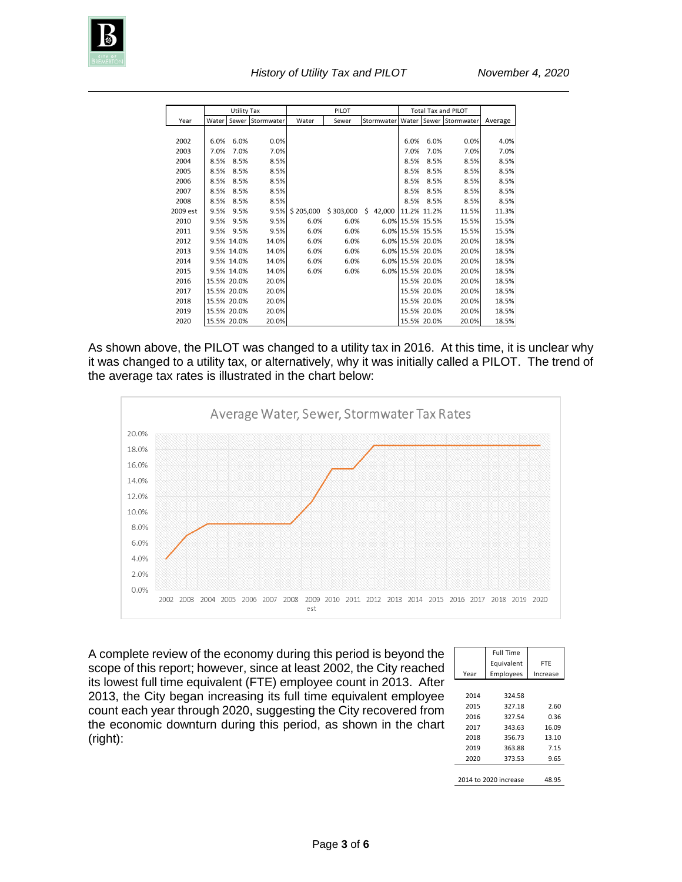

|          | <b>Utility Tax</b> |             |                  | PILOT     |           |              | <b>Total Tax and PILOT</b> |             |            |         |
|----------|--------------------|-------------|------------------|-----------|-----------|--------------|----------------------------|-------------|------------|---------|
| Year     | Water              |             | Sewer Stormwater | Water     | Sewer     | Stormwater   | Water                      | Sewer       | Stormwater | Average |
|          |                    |             |                  |           |           |              |                            |             |            |         |
| 2002     | 6.0%               | 6.0%        | 0.0%             |           |           |              | 6.0%                       | 6.0%        | 0.0%       | 4.0%    |
| 2003     | 7.0%               | 7.0%        | 7.0%             |           |           |              | 7.0%                       | 7.0%        | 7.0%       | 7.0%    |
| 2004     | 8.5%               | 8.5%        | 8.5%             |           |           |              | 8.5%                       | 8.5%        | 8.5%       | 8.5%    |
| 2005     | 8.5%               | 8.5%        | 8.5%             |           |           |              | 8.5%                       | 8.5%        | 8.5%       | 8.5%    |
| 2006     | 8.5%               | 8.5%        | 8.5%             |           |           |              | 8.5%                       | 8.5%        | 8.5%       | 8.5%    |
| 2007     | 8.5%               | 8.5%        | 8.5%             |           |           |              | 8.5%                       | 8.5%        | 8.5%       | 8.5%    |
| 2008     | 8.5%               | 8.5%        | 8.5%             |           |           |              | 8.5%                       | 8.5%        | 8.5%       | 8.5%    |
| 2009 est | 9.5%               | 9.5%        | 9.5%             | \$205,000 | \$303,000 | \$<br>42,000 |                            | 11.2% 11.2% | 11.5%      | 11.3%   |
| 2010     | 9.5%               | 9.5%        | 9.5%             | 6.0%      | 6.0%      |              | 6.0% 15.5% 15.5%           |             | 15.5%      | 15.5%   |
| 2011     | 9.5%               | 9.5%        | 9.5%             | 6.0%      | 6.0%      |              | 6.0% 15.5% 15.5%           |             | 15.5%      | 15.5%   |
| 2012     |                    | 9.5% 14.0%  | 14.0%            | 6.0%      | 6.0%      |              | 6.0% 15.5% 20.0%           |             | 20.0%      | 18.5%   |
| 2013     |                    | 9.5% 14.0%  | 14.0%            | 6.0%      | 6.0%      |              | 6.0% 15.5% 20.0%           |             | 20.0%      | 18.5%   |
| 2014     |                    | 9.5% 14.0%  | 14.0%            | 6.0%      | 6.0%      |              | 6.0% 15.5% 20.0%           |             | 20.0%      | 18.5%   |
| 2015     |                    | 9.5% 14.0%  | 14.0%            | 6.0%      | 6.0%      |              | 6.0% 15.5% 20.0%           |             | 20.0%      | 18.5%   |
| 2016     |                    | 15.5% 20.0% | 20.0%            |           |           |              |                            | 15.5% 20.0% | 20.0%      | 18.5%   |
| 2017     |                    | 15.5% 20.0% | 20.0%            |           |           |              |                            | 15.5% 20.0% | 20.0%      | 18.5%   |
| 2018     |                    | 15.5% 20.0% | 20.0%            |           |           |              |                            | 15.5% 20.0% | 20.0%      | 18.5%   |
| 2019     |                    | 15.5% 20.0% | 20.0%            |           |           |              |                            | 15.5% 20.0% | 20.0%      | 18.5%   |
| 2020     |                    | 15.5% 20.0% | 20.0%            |           |           |              |                            | 15.5% 20.0% | 20.0%      | 18.5%   |

As shown above, the PILOT was changed to a utility tax in 2016. At this time, it is unclear why it was changed to a utility tax, or alternatively, why it was initially called a PILOT. The trend of the average tax rates is illustrated in the chart below:



A complete review of the economy during this period is beyond the scope of this report; however, since at least 2002, the City reached its lowest full time equivalent (FTE) employee count in 2013. After 2013, the City began increasing its full time equivalent employee count each year through 2020, suggesting the City recovered from the economic downturn during this period, as shown in the chart (right):

|                       | <b>Full Time</b> |          |  |  |  |  |  |
|-----------------------|------------------|----------|--|--|--|--|--|
|                       | Equivalent       | FTE      |  |  |  |  |  |
| Year                  | Employees        | Increase |  |  |  |  |  |
|                       |                  |          |  |  |  |  |  |
| 2014                  | 324.58           |          |  |  |  |  |  |
| 2015                  | 327.18           | 2.60     |  |  |  |  |  |
| 2016                  | 327.54           | 0.36     |  |  |  |  |  |
| 2017                  | 343.63           | 16.09    |  |  |  |  |  |
| 2018                  | 356.73           | 13.10    |  |  |  |  |  |
| 2019                  | 363.88           | 7.15     |  |  |  |  |  |
| 2020                  | 373.53           | 9.65     |  |  |  |  |  |
|                       |                  |          |  |  |  |  |  |
| 2014 to 2020 increase | 48.95            |          |  |  |  |  |  |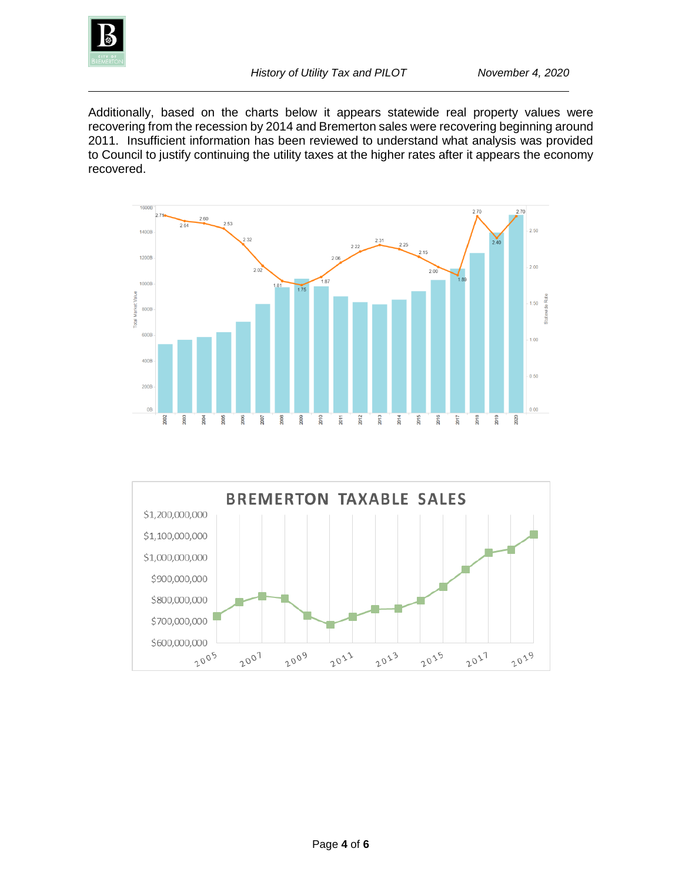

Additionally, based on the charts below it appears statewide real property values were recovering from the recession by 2014 and Bremerton sales were recovering beginning around 2011. Insufficient information has been reviewed to understand what analysis was provided to Council to justify continuing the utility taxes at the higher rates after it appears the economy recovered.



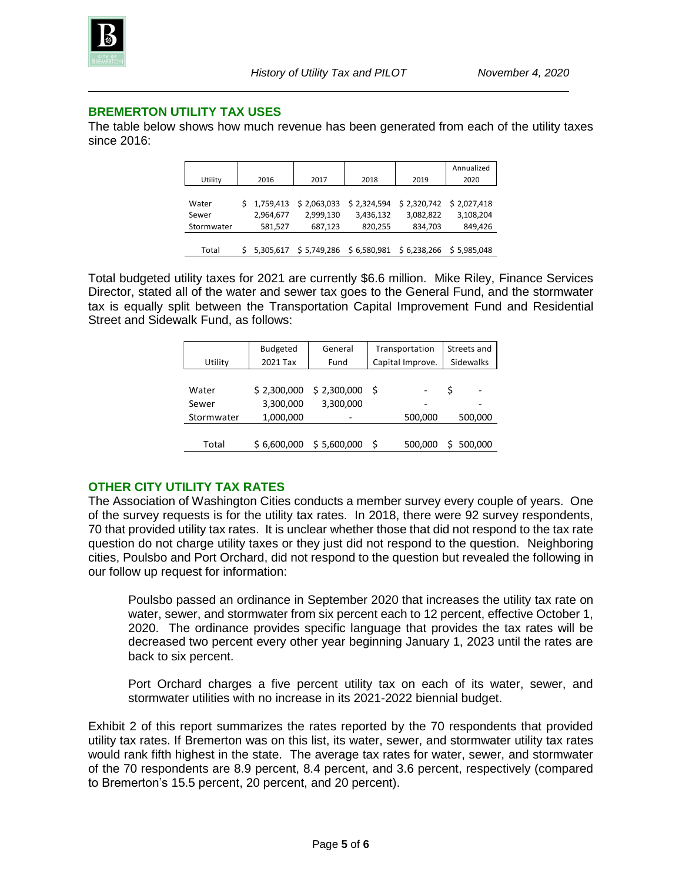

#### **BREMERTON UTILITY TAX USES**

The table below shows how much revenue has been generated from each of the utility taxes since 2016:

| Utility    | 2016        | 2017        | 2018                              | 2019         | Annualized<br>2020 |
|------------|-------------|-------------|-----------------------------------|--------------|--------------------|
|            |             |             |                                   |              |                    |
| Water      | \$1,759,413 | \$2,063,033 | \$2,324,594                       | \$2,320,742  | \$2,027,418        |
| Sewer      | 2,964,677   | 2,999,130   | 3,436,132                         | 3,082,822    | 3,108,204          |
| Stormwater | 581,527     | 687,123     | 820,255                           | 834,703      | 849,426            |
|            |             |             |                                   |              |                    |
| Total      |             |             | 5,305,617 \$5,749,286 \$6,580,981 | \$ 6,238,266 | \$5,985,048        |

Total budgeted utility taxes for 2021 are currently \$6.6 million. Mike Riley, Finance Services Director, stated all of the water and sewer tax goes to the General Fund, and the stormwater tax is equally split between the Transportation Capital Improvement Fund and Residential Street and Sidewalk Fund, as follows:

|            | <b>Budgeted</b> | General     | Transportation   |         | Streets and |  |
|------------|-----------------|-------------|------------------|---------|-------------|--|
| Utility    | 2021 Tax        | Fund        | Capital Improve. |         | Sidewalks   |  |
|            |                 |             |                  |         |             |  |
| Water      | \$2,300,000     | \$2,300,000 | - S              |         | Ś           |  |
| Sewer      | 3,300,000       | 3,300,000   |                  |         |             |  |
| Stormwater | 1,000,000       | -           |                  | 500,000 | 500,000     |  |
|            |                 |             |                  |         |             |  |
| Total      | \$6,600,000     | \$5,600,000 |                  | 500,000 | 500,000     |  |

## **OTHER CITY UTILITY TAX RATES**

The Association of Washington Cities conducts a member survey every couple of years. One of the survey requests is for the utility tax rates. In 2018, there were 92 survey respondents, 70 that provided utility tax rates. It is unclear whether those that did not respond to the tax rate question do not charge utility taxes or they just did not respond to the question. Neighboring cities, Poulsbo and Port Orchard, did not respond to the question but revealed the following in our follow up request for information:

Poulsbo passed an ordinance in September 2020 that increases the utility tax rate on water, sewer, and stormwater from six percent each to 12 percent, effective October 1, 2020. The ordinance provides specific language that provides the tax rates will be decreased two percent every other year beginning January 1, 2023 until the rates are back to six percent.

Port Orchard charges a five percent utility tax on each of its water, sewer, and stormwater utilities with no increase in its 2021-2022 biennial budget.

Exhibit 2 of this report summarizes the rates reported by the 70 respondents that provided utility tax rates. If Bremerton was on this list, its water, sewer, and stormwater utility tax rates would rank fifth highest in the state. The average tax rates for water, sewer, and stormwater of the 70 respondents are 8.9 percent, 8.4 percent, and 3.6 percent, respectively (compared to Bremerton's 15.5 percent, 20 percent, and 20 percent).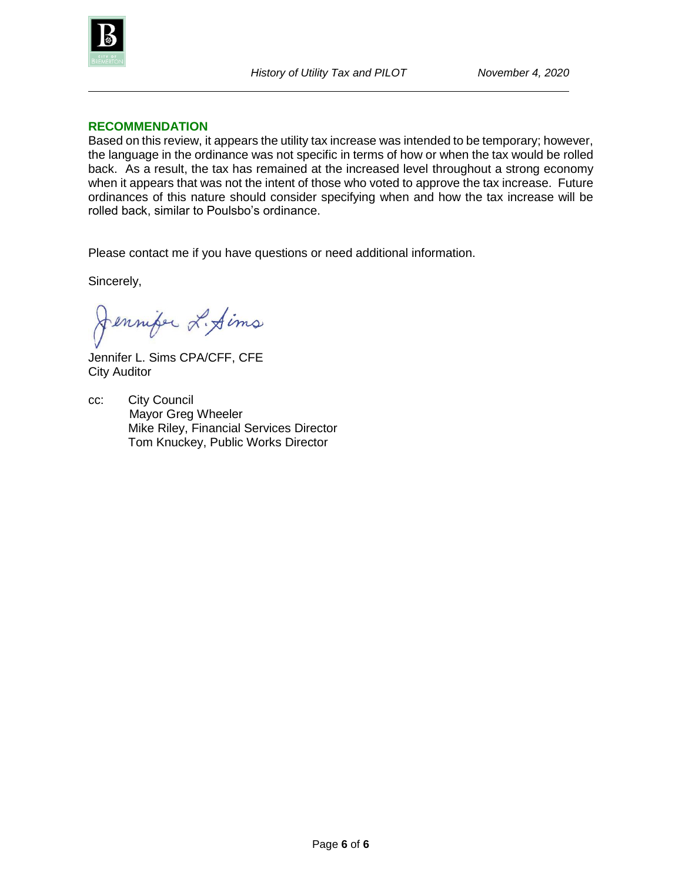

#### **RECOMMENDATION**

Based on this review, it appears the utility tax increase was intended to be temporary; however, the language in the ordinance was not specific in terms of how or when the tax would be rolled back. As a result, the tax has remained at the increased level throughout a strong economy when it appears that was not the intent of those who voted to approve the tax increase. Future ordinances of this nature should consider specifying when and how the tax increase will be rolled back, similar to Poulsbo's ordinance.

Please contact me if you have questions or need additional information.

Sincerely,

Jennifer L. Sims

Jennifer L. Sims CPA/CFF, CFE City Auditor

cc: City Council Mayor Greg Wheeler Mike Riley, Financial Services Director Tom Knuckey, Public Works Director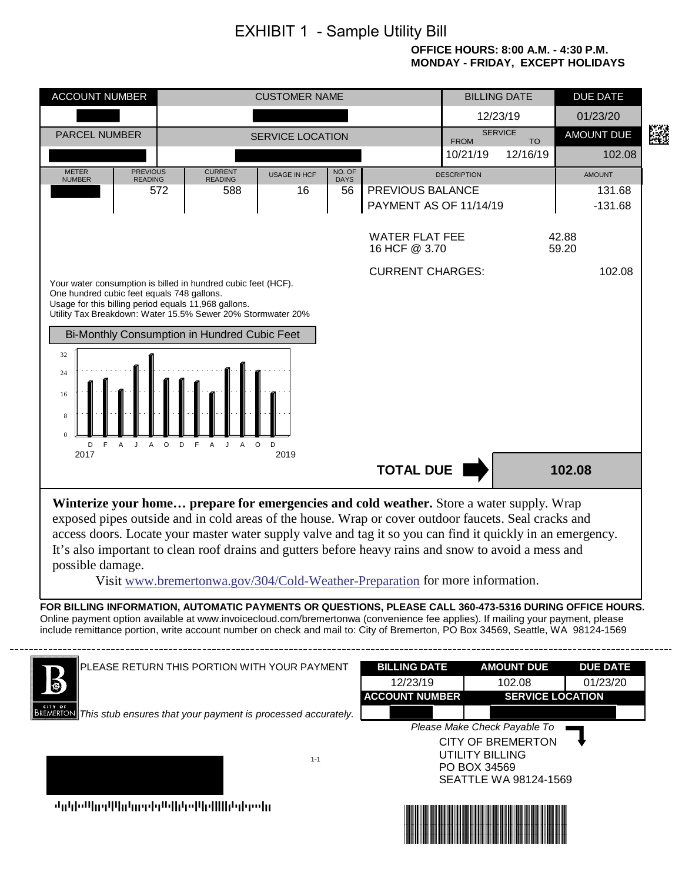# EXHIBIT 1 - Sample Utility Bill

#### **OFFICE HOURS: 8:00 A.M. - 4:30 P.M. MONDAY - FRIDAY, EXCEPT HOLIDAYS**